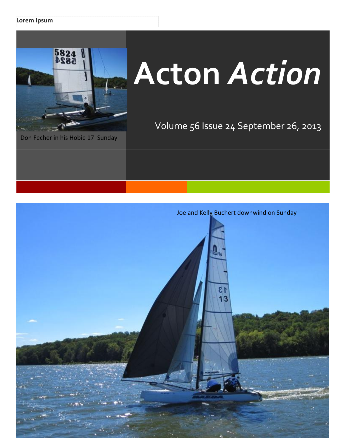### **Lorem Ipsum**



# **Acton** *Action*

Volume 56 Issue 24 September 26, 2013

Joe and Kelly Buchert downwind on Sunday 13  $13$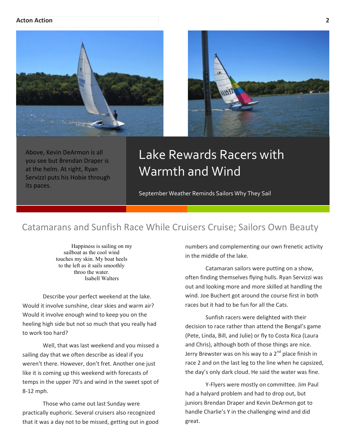#### **Acton Action 2**





Above, Kevin DeArmon is all you see but Brendan Draper is at the helm. At right, Ryan Servizzi puts his Hobie through its paces.

# Lake Rewards Racers with Warmth and Wind

September Weather Reminds Sailors Why They Sail

## Catamarans and Sunfish Race While Cruisers Cruise; Sailors Own Beauty

Happiness is sailing on my sailboat as the cool wind touches my skin. My boat heels to the left as it sails smoothly throo the water. Isabell Walters

Describe your perfect weekend at the lake. Would it involve sunshine, clear skies and warm air? Would it involve enough wind to keep you on the heeling high side but not so much that you really had to work too hard?

Well, that was last weekend and you missed a sailing day that we often describe as ideal if you weren't there. However, don't fret. Another one just like it is coming up this weekend with forecasts of temps in the upper 70's and wind in the sweet spot of 8-12 mph.

Those who came out last Sunday were practically euphoric. Several cruisers also recognized that it was a day not to be missed, getting out in good numbers and complementing our own frenetic activity in the middle of the lake.

Catamaran sailors were putting on a show, often finding themselves flying hulls. Ryan Servizzi was out and looking more and more skilled at handling the wind. Joe Buchert got around the course first in both races but it had to be fun for all the Cats.

Sunfish racers were delighted with their decision to race rather than attend the Bengal's game (Pete, Linda, Bill, and Julie) or fly to Costa Rica (Laura and Chris), although both of those things are nice. Jerry Brewster was on his way to a  $2^{nd}$  place finish in race 2 and on the last leg to the line when he capsized, the day's only dark cloud. He said the water was fine.

Y-Flyers were mostly on committee. Jim Paul had a halyard problem and had to drop out, but juniors Brendan Draper and Kevin DeArmon got to handle Charlie's Y in the challenging wind and did great.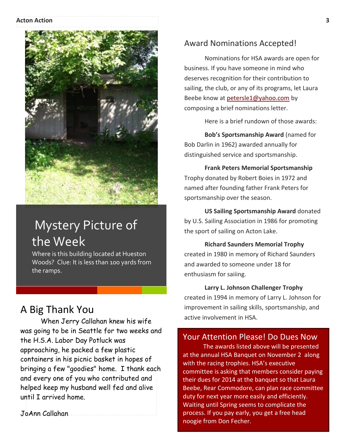#### **Acton Action 3**



# Mystery Picture of the Week

Where is this building located at Hueston Woods? Clue: It is less than 100 yards from the ramps.

## A Big Thank You

aener sagit tidak sagit tidak purus. Praesent vitae sagit tidak sagit tidak purus. Praesent vitae sagit tidak<br>Praesent vitae sagit tidak purus. Praesent vitae sagit tidak purus. Praesent vitae sagit tidak purus. Praesent helped keep my husband well fed and alive until I arrived home. When Jerry Callahan knew his wife was going to be in Seattle for two weeks and the H.S.A. Labor Day Potluck was approaching, he packed a few plastic containers in his picnic basket in hopes of bringing a few "goodies" home. I thank each and every one of you who contributed and

Integer feugiat. In sed massa. JoAnn Callahan

## Award Nominations Accepted!

Nominations for HSA awards are open for business. If you have someone in mind who deserves recognition for their contribution to sailing, the club, or any of its programs, let Laura Beebe know at [petersle1@yahoo.com](mailto:petersle1@yahoo.com) by composing a brief nominations letter.

Here is a brief rundown of those awards:

**Bob's Sportsmanship Award** (named for Bob Darlin in 1962) awarded annually for distinguished service and sportsmanship.

**Frank Peters Memorial Sportsmanship** Trophy donated by Robert Boies in 1972 and named after founding father Frank Peters for sportsmanship over the season.

**US Sailing Sportsmanship Award** donated by U.S. Sailing Association in 1986 for promoting the sport of sailing on Acton Lake.

## **Richard Saunders Memorial Trophy** created in 1980 in memory of Richard Saunders and awarded to someone under 18 for enthusiasm for saiiing.

### **Larry L. Johnson Challenger Trophy**

created in 1994 in memory of Larry L. Johnson for improvement in sailing skills, sportsmanship, and active involvement in HSA.

## Your Attention Please! Do Dues Now

The awards listed above will be presented at the annual HSA Banquet on November 2 along with the racing trophies. HSA's executive committee is asking that members consider paying their dues for 2014 at the banquet so that Laura Beebe, Rear Commodore, can plan race committee duty for next year more easily and efficiently. Waiting until Spring seems to complicate the process. If you pay early, you get a free head noogie from Don Fecher.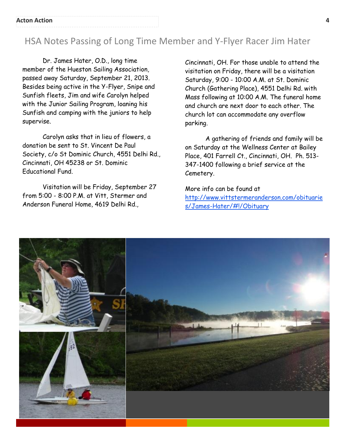## HSA Notes Passing of Long Time Member and Y-Flyer Racer Jim Hater

Dr. James Hater, O.D., long time member of the Hueston Sailing Association, passed away Saturday, September 21, 2013. Besides being active in the Y-Flyer, Snipe and Sunfish fleets, Jim and wife Carolyn helped with the Junior Sailing Program, loaning his Sunfish and camping with the juniors to help supervise.

Carolyn asks that in lieu of flowers, a donation be sent to St. Vincent De Paul Society, c/o St Dominic Church, 4551 Delhi Rd., Cincinnati, OH 45238 or St. Dominic Educational Fund.

Visitation will be Friday, September 27 from 5:00 - 8:00 P.M. at Vitt, Stermer and Anderson Funeral Home, 4619 Delhi Rd.,

Cincinnati, OH. For those unable to attend the visitation on Friday, there will be a visitation Saturday, 9:00 - 10:00 A.M. at St. Dominic Church (Gathering Place), 4551 Delhi Rd. with Mass following at 10:00 A.M. The funeral home and church are next door to each other. The church lot can accommodate any overflow parking.

A gathering of friends and family will be on Saturday at the Wellness Center at Bailey Place, 401 Farrell Ct., Cincinnati, OH. Ph. 513- 347-1400 following a brief service at the Cemetery.

More info can be found at [http://www.vittstermeranderson.com/obituarie](http://www.vittstermeranderson.com/obituaries/James-Hater/#!/Obituary) [s/James-Hater/#!/Obituary](http://www.vittstermeranderson.com/obituaries/James-Hater/#!/Obituary)